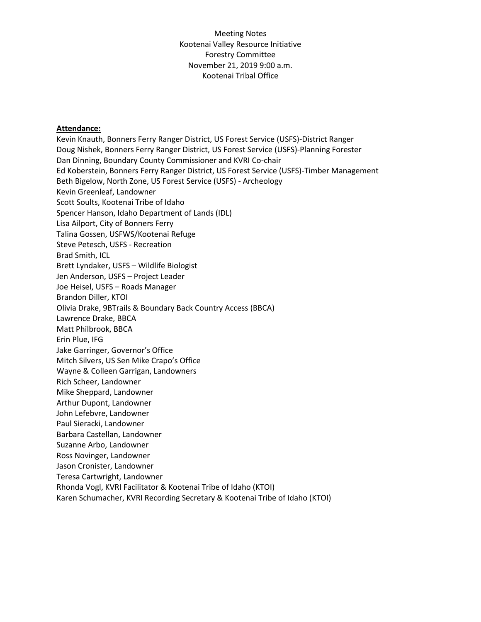## **Attendance:**

Kevin Knauth, Bonners Ferry Ranger District, US Forest Service (USFS)-District Ranger Doug Nishek, Bonners Ferry Ranger District, US Forest Service (USFS)-Planning Forester Dan Dinning, Boundary County Commissioner and KVRI Co-chair Ed Koberstein, Bonners Ferry Ranger District, US Forest Service (USFS)-Timber Management Beth Bigelow, North Zone, US Forest Service (USFS) - Archeology Kevin Greenleaf, Landowner Scott Soults, Kootenai Tribe of Idaho Spencer Hanson, Idaho Department of Lands (IDL) Lisa Ailport, City of Bonners Ferry Talina Gossen, USFWS/Kootenai Refuge Steve Petesch, USFS - Recreation Brad Smith, ICL Brett Lyndaker, USFS – Wildlife Biologist Jen Anderson, USFS – Project Leader Joe Heisel, USFS – Roads Manager Brandon Diller, KTOI Olivia Drake, 9BTrails & Boundary Back Country Access (BBCA) Lawrence Drake, BBCA Matt Philbrook, BBCA Erin Plue, IFG Jake Garringer, Governor's Office Mitch Silvers, US Sen Mike Crapo's Office Wayne & Colleen Garrigan, Landowners Rich Scheer, Landowner Mike Sheppard, Landowner Arthur Dupont, Landowner John Lefebvre, Landowner Paul Sieracki, Landowner Barbara Castellan, Landowner Suzanne Arbo, Landowner Ross Novinger, Landowner Jason Cronister, Landowner Teresa Cartwright, Landowner Rhonda Vogl, KVRI Facilitator & Kootenai Tribe of Idaho (KTOI) Karen Schumacher, KVRI Recording Secretary & Kootenai Tribe of Idaho (KTOI)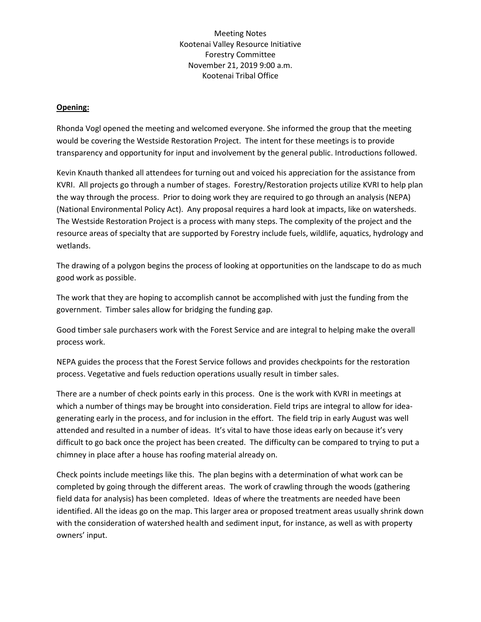## **Opening:**

Rhonda Vogl opened the meeting and welcomed everyone. She informed the group that the meeting would be covering the Westside Restoration Project. The intent for these meetings is to provide transparency and opportunity for input and involvement by the general public. Introductions followed.

Kevin Knauth thanked all attendees for turning out and voiced his appreciation for the assistance from KVRI. All projects go through a number of stages. Forestry/Restoration projects utilize KVRI to help plan the way through the process. Prior to doing work they are required to go through an analysis (NEPA) (National Environmental Policy Act). Any proposal requires a hard look at impacts, like on watersheds. The Westside Restoration Project is a process with many steps. The complexity of the project and the resource areas of specialty that are supported by Forestry include fuels, wildlife, aquatics, hydrology and wetlands.

The drawing of a polygon begins the process of looking at opportunities on the landscape to do as much good work as possible.

The work that they are hoping to accomplish cannot be accomplished with just the funding from the government. Timber sales allow for bridging the funding gap.

Good timber sale purchasers work with the Forest Service and are integral to helping make the overall process work.

NEPA guides the process that the Forest Service follows and provides checkpoints for the restoration process. Vegetative and fuels reduction operations usually result in timber sales.

There are a number of check points early in this process. One is the work with KVRI in meetings at which a number of things may be brought into consideration. Field trips are integral to allow for ideagenerating early in the process, and for inclusion in the effort. The field trip in early August was well attended and resulted in a number of ideas. It's vital to have those ideas early on because it's very difficult to go back once the project has been created. The difficulty can be compared to trying to put a chimney in place after a house has roofing material already on.

Check points include meetings like this. The plan begins with a determination of what work can be completed by going through the different areas. The work of crawling through the woods (gathering field data for analysis) has been completed. Ideas of where the treatments are needed have been identified. All the ideas go on the map. This larger area or proposed treatment areas usually shrink down with the consideration of watershed health and sediment input, for instance, as well as with property owners' input.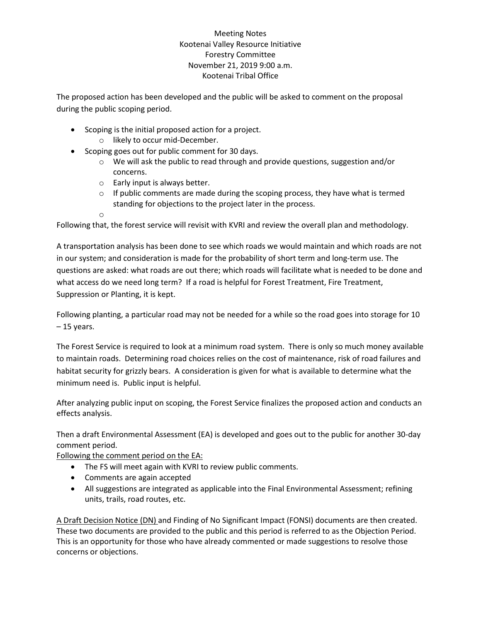The proposed action has been developed and the public will be asked to comment on the proposal during the public scoping period.

- Scoping is the initial proposed action for a project. o likely to occur mid-December.
- Scoping goes out for public comment for 30 days.
	- $\circ$  We will ask the public to read through and provide questions, suggestion and/or concerns.
	- o Early input is always better.
	- $\circ$  If public comments are made during the scoping process, they have what is termed standing for objections to the project later in the process.
	- o

Following that, the forest service will revisit with KVRI and review the overall plan and methodology.

A transportation analysis has been done to see which roads we would maintain and which roads are not in our system; and consideration is made for the probability of short term and long-term use. The questions are asked: what roads are out there; which roads will facilitate what is needed to be done and what access do we need long term? If a road is helpful for Forest Treatment, Fire Treatment, Suppression or Planting, it is kept.

Following planting, a particular road may not be needed for a while so the road goes into storage for 10 – 15 years.

The Forest Service is required to look at a minimum road system. There is only so much money available to maintain roads. Determining road choices relies on the cost of maintenance, risk of road failures and habitat security for grizzly bears. A consideration is given for what is available to determine what the minimum need is. Public input is helpful.

After analyzing public input on scoping, the Forest Service finalizes the proposed action and conducts an effects analysis.

Then a draft Environmental Assessment (EA) is developed and goes out to the public for another 30-day comment period.

Following the comment period on the EA:

- The FS will meet again with KVRI to review public comments.
- Comments are again accepted
- All suggestions are integrated as applicable into the Final Environmental Assessment; refining units, trails, road routes, etc.

A Draft Decision Notice (DN) and Finding of No Significant Impact (FONSI) documents are then created. These two documents are provided to the public and this period is referred to as the Objection Period. This is an opportunity for those who have already commented or made suggestions to resolve those concerns or objections.